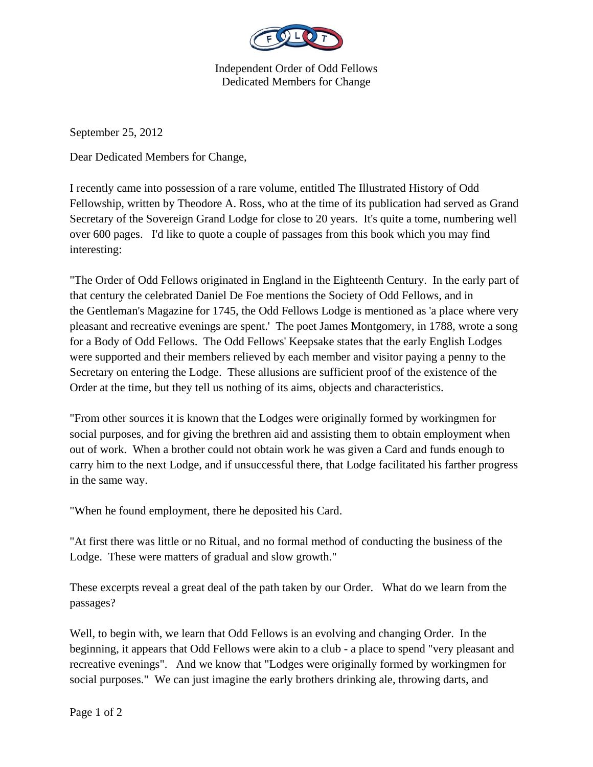

Independent Order of Odd Fellows Dedicated Members for Change

September 25, 2012

Dear Dedicated Members for Change,

I recently came into possession of a rare volume, entitled The Illustrated History of Odd Fellowship, written by Theodore A. Ross, who at the time of its publication had served as Grand Secretary of the Sovereign Grand Lodge for close to 20 years. It's quite a tome, numbering well over 600 pages. I'd like to quote a couple of passages from this book which you may find interesting:

"The Order of Odd Fellows originated in England in the Eighteenth Century. In the early part of that century the celebrated Daniel De Foe mentions the Society of Odd Fellows, and in the Gentleman's Magazine for 1745, the Odd Fellows Lodge is mentioned as 'a place where very pleasant and recreative evenings are spent.' The poet James Montgomery, in 1788, wrote a song for a Body of Odd Fellows. The Odd Fellows' Keepsake states that the early English Lodges were supported and their members relieved by each member and visitor paying a penny to the Secretary on entering the Lodge. These allusions are sufficient proof of the existence of the Order at the time, but they tell us nothing of its aims, objects and characteristics.

"From other sources it is known that the Lodges were originally formed by workingmen for social purposes, and for giving the brethren aid and assisting them to obtain employment when out of work. When a brother could not obtain work he was given a Card and funds enough to carry him to the next Lodge, and if unsuccessful there, that Lodge facilitated his farther progress in the same way.

"When he found employment, there he deposited his Card.

"At first there was little or no Ritual, and no formal method of conducting the business of the Lodge. These were matters of gradual and slow growth."

These excerpts reveal a great deal of the path taken by our Order. What do we learn from the passages?

Well, to begin with, we learn that Odd Fellows is an evolving and changing Order. In the beginning, it appears that Odd Fellows were akin to a club - a place to spend "very pleasant and recreative evenings". And we know that "Lodges were originally formed by workingmen for social purposes." We can just imagine the early brothers drinking ale, throwing darts, and